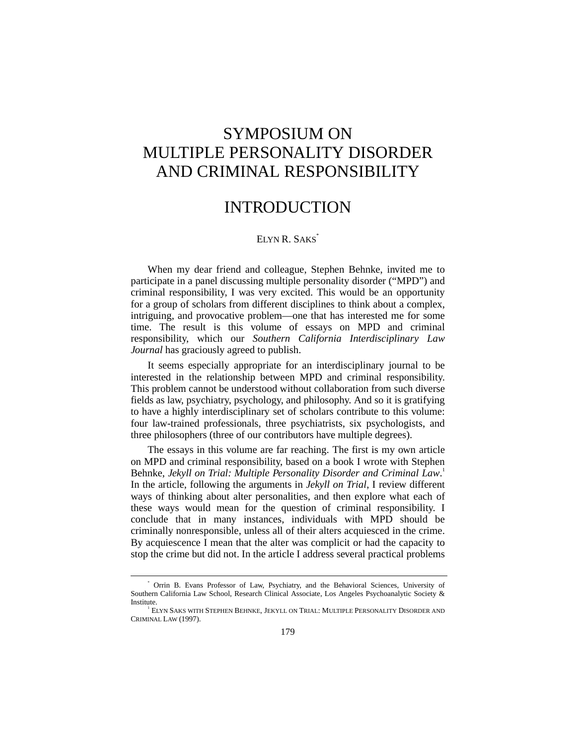## SYMPOSIUM ON MULTIPLE PERSONALITY DISORDER AND CRIMINAL RESPONSIBILITY

## INTRODUCTION

## ELYN R. SAKS<sup>\*</sup>

When my dear friend and colleague, Stephen Behnke, invited me to participate in a panel discussing multiple personality disorder ("MPD") and criminal responsibility, I was very excited. This would be an opportunity for a group of scholars from different disciplines to think about a complex, intriguing, and provocative problem—one that has interested me for some time. The result is this volume of essays on MPD and criminal responsibility, which our *Southern California Interdisciplinary Law Journal* has graciously agreed to publish.

It seems especially appropriate for an interdisciplinary journal to be interested in the relationship between MPD and criminal responsibility. This problem cannot be understood without collaboration from such diverse fields as law, psychiatry, psychology, and philosophy. And so it is gratifying to have a highly interdisciplinary set of scholars contribute to this volume: four law-trained professionals, three psychiatrists, six psychologists, and three philosophers (three of our contributors have multiple degrees).

The essays in this volume are far reaching. The first is my own article on MPD and criminal responsibility, based on a book I wrote with Stephen Behnke, *Jekyll on Trial: Multiple Personality Disorder and Criminal Law*. 1 In the article, following the arguments in *Jekyll on Trial*, I review different ways of thinking about alter personalities, and then explore what each of these ways would mean for the question of criminal responsibility. I conclude that in many instances, individuals with MPD should be criminally nonresponsible, unless all of their alters acquiesced in the crime. By acquiescence I mean that the alter was complicit or had the capacity to stop the crime but did not. In the article I address several practical problems

 $\overline{\phantom{a}}$  Orrin B. Evans Professor of Law, Psychiatry, and the Behavioral Sciences, University of Southern California Law School, Research Clinical Associate, Los Angeles Psychoanalytic Society & Institute.

<sup>1</sup> ELYN SAKS WITH STEPHEN BEHNKE, JEKYLL ON TRIAL: MULTIPLE PERSONALITY DISORDER AND CRIMINAL LAW (1997).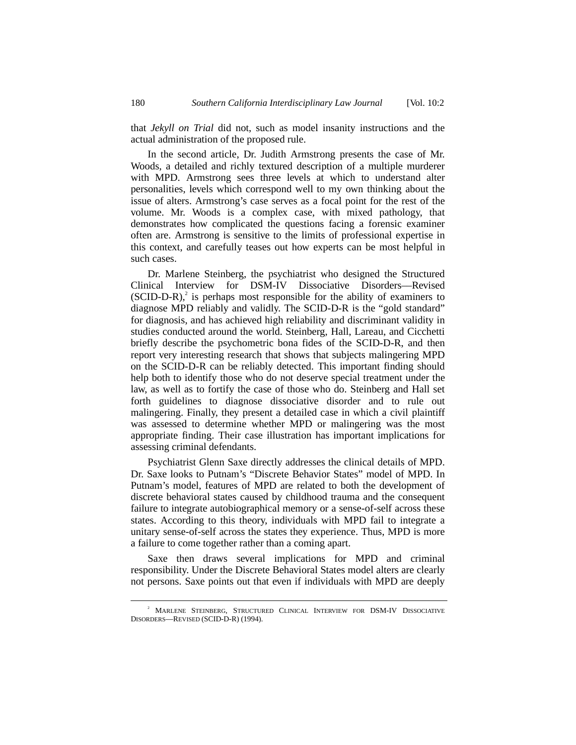that *Jekyll on Trial* did not, such as model insanity instructions and the actual administration of the proposed rule.

In the second article, Dr. Judith Armstrong presents the case of Mr. Woods, a detailed and richly textured description of a multiple murderer with MPD. Armstrong sees three levels at which to understand alter personalities, levels which correspond well to my own thinking about the issue of alters. Armstrong's case serves as a focal point for the rest of the volume. Mr. Woods is a complex case, with mixed pathology, that demonstrates how complicated the questions facing a forensic examiner often are. Armstrong is sensitive to the limits of professional expertise in this context, and carefully teases out how experts can be most helpful in such cases.

Dr. Marlene Steinberg, the psychiatrist who designed the Structured Clinical Interview for DSM-IV Dissociative Disorders––Revised  $(SCID-D-R)<sup>2</sup>$  is perhaps most responsible for the ability of examiners to diagnose MPD reliably and validly. The SCID-D-R is the "gold standard" for diagnosis, and has achieved high reliability and discriminant validity in studies conducted around the world. Steinberg, Hall, Lareau, and Cicchetti briefly describe the psychometric bona fides of the SCID-D-R, and then report very interesting research that shows that subjects malingering MPD on the SCID-D-R can be reliably detected. This important finding should help both to identify those who do not deserve special treatment under the law, as well as to fortify the case of those who do. Steinberg and Hall set forth guidelines to diagnose dissociative disorder and to rule out malingering. Finally, they present a detailed case in which a civil plaintiff was assessed to determine whether MPD or malingering was the most appropriate finding. Their case illustration has important implications for assessing criminal defendants.

Psychiatrist Glenn Saxe directly addresses the clinical details of MPD. Dr. Saxe looks to Putnam's "Discrete Behavior States" model of MPD. In Putnam's model, features of MPD are related to both the development of discrete behavioral states caused by childhood trauma and the consequent failure to integrate autobiographical memory or a sense-of-self across these states. According to this theory, individuals with MPD fail to integrate a unitary sense-of-self across the states they experience. Thus, MPD is more a failure to come together rather than a coming apart.

Saxe then draws several implications for MPD and criminal responsibility. Under the Discrete Behavioral States model alters are clearly not persons. Saxe points out that even if individuals with MPD are deeply

 $\overline{\phantom{a}}$ <sup>2</sup> MARLENE STEINBERG, STRUCTURED CLINICAL INTERVIEW FOR DSM-IV DISSOCIATIVE DISORDERS––REVISED (SCID-D-R) (1994).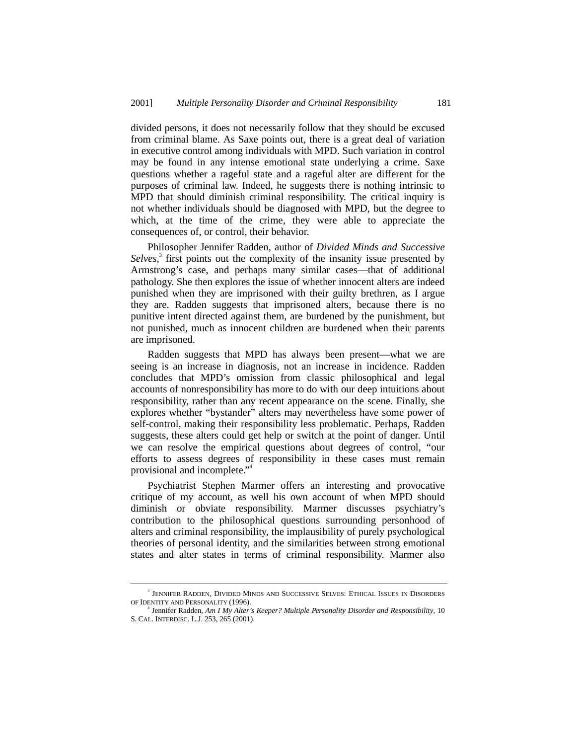divided persons, it does not necessarily follow that they should be excused from criminal blame. As Saxe points out, there is a great deal of variation in executive control among individuals with MPD. Such variation in control may be found in any intense emotional state underlying a crime. Saxe questions whether a rageful state and a rageful alter are different for the purposes of criminal law. Indeed, he suggests there is nothing intrinsic to MPD that should diminish criminal responsibility. The critical inquiry is not whether individuals should be diagnosed with MPD, but the degree to which, at the time of the crime, they were able to appreciate the consequences of, or control, their behavior.

Philosopher Jennifer Radden, author of *Divided Minds and Successive* Selves,<sup>3</sup> first points out the complexity of the insanity issue presented by Armstrong's case, and perhaps many similar cases––that of additional pathology. She then explores the issue of whether innocent alters are indeed punished when they are imprisoned with their guilty brethren, as I argue they are. Radden suggests that imprisoned alters, because there is no punitive intent directed against them, are burdened by the punishment, but not punished, much as innocent children are burdened when their parents are imprisoned.

Radden suggests that MPD has always been present—what we are seeing is an increase in diagnosis, not an increase in incidence. Radden concludes that MPD's omission from classic philosophical and legal accounts of nonresponsibility has more to do with our deep intuitions about responsibility, rather than any recent appearance on the scene. Finally, she explores whether "bystander" alters may nevertheless have some power of self-control, making their responsibility less problematic. Perhaps, Radden suggests, these alters could get help or switch at the point of danger. Until we can resolve the empirical questions about degrees of control, "our efforts to assess degrees of responsibility in these cases must remain provisional and incomplete." 4

Psychiatrist Stephen Marmer offers an interesting and provocative critique of my account, as well his own account of when MPD should diminish or obviate responsibility. Marmer discusses psychiatry's contribution to the philosophical questions surrounding personhood of alters and criminal responsibility, the implausibility of purely psychological theories of personal identity, and the similarities between strong emotional states and alter states in terms of criminal responsibility. Marmer also

 $\overline{\phantom{a}}$ <sup>3</sup> JENNIFER RADDEN, DIVIDED MINDS AND SUCCESSIVE SELVES: ETHICAL ISSUES IN DISORDERS OF IDENTITY AND PERSONALITY (1996).

<sup>4</sup> Jennifer Radden, *Am I My Alter's Keeper? Multiple Personality Disorder and Responsibility*, 10 S. CAL. INTERDISC. L.J. 253, 265 (2001).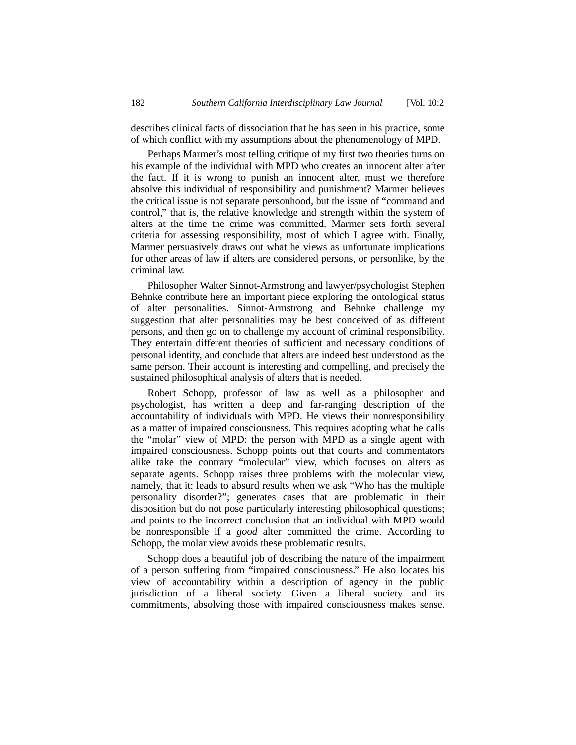describes clinical facts of dissociation that he has seen in his practice, some of which conflict with my assumptions about the phenomenology of MPD.

Perhaps Marmer's most telling critique of my first two theories turns on his example of the individual with MPD who creates an innocent alter after the fact. If it is wrong to punish an innocent alter, must we therefore absolve this individual of responsibility and punishment? Marmer believes the critical issue is not separate personhood, but the issue of "command and control," that is, the relative knowledge and strength within the system of alters at the time the crime was committed. Marmer sets forth several criteria for assessing responsibility, most of which I agree with. Finally, Marmer persuasively draws out what he views as unfortunate implications for other areas of law if alters are considered persons, or personlike, by the criminal law.

Philosopher Walter Sinnot-Armstrong and lawyer/psychologist Stephen Behnke contribute here an important piece exploring the ontological status of alter personalities. Sinnot-Armstrong and Behnke challenge my suggestion that alter personalities may be best conceived of as different persons, and then go on to challenge my account of criminal responsibility. They entertain different theories of sufficient and necessary conditions of personal identity, and conclude that alters are indeed best understood as the same person. Their account is interesting and compelling, and precisely the sustained philosophical analysis of alters that is needed.

Robert Schopp, professor of law as well as a philosopher and psychologist, has written a deep and far-ranging description of the accountability of individuals with MPD. He views their nonresponsibility as a matter of impaired consciousness. This requires adopting what he calls the "molar" view of MPD: the person with MPD as a single agent with impaired consciousness. Schopp points out that courts and commentators alike take the contrary "molecular" view, which focuses on alters as separate agents. Schopp raises three problems with the molecular view, namely, that it: leads to absurd results when we ask "Who has the multiple personality disorder?"; generates cases that are problematic in their disposition but do not pose particularly interesting philosophical questions; and points to the incorrect conclusion that an individual with MPD would be nonresponsible if a *good* alter committed the crime. According to Schopp, the molar view avoids these problematic results.

Schopp does a beautiful job of describing the nature of the impairment of a person suffering from "impaired consciousness." He also locates his view of accountability within a description of agency in the public jurisdiction of a liberal society. Given a liberal society and its commitments, absolving those with impaired consciousness makes sense.